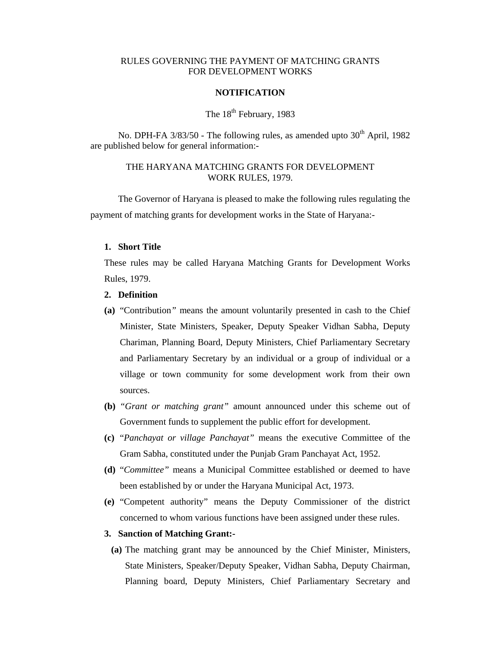## RULES GOVERNING THE PAYMENT OF MATCHING GRANTS FOR DEVELOPMENT WORKS

#### **NOTIFICATION**

## The 18<sup>th</sup> February, 1983

No. DPH-FA 3/83/50 - The following rules, as amended upto 30<sup>th</sup> April, 1982 are published below for general information:-

## THE HARYANA MATCHING GRANTS FOR DEVELOPMENT WORK RULES, 1979.

 The Governor of Haryana is pleased to make the following rules regulating the payment of matching grants for development works in the State of Haryana:-

#### **1. Short Title**

These rules may be called Haryana Matching Grants for Development Works Rules, 1979.

### **2. Definition**

- **(a)** "Contribution*"* means the amount voluntarily presented in cash to the Chief Minister, State Ministers, Speaker, Deputy Speaker Vidhan Sabha, Deputy Chariman, Planning Board, Deputy Ministers, Chief Parliamentary Secretary and Parliamentary Secretary by an individual or a group of individual or a village or town community for some development work from their own sources.
- **(b)** *"Grant or matching grant"* amount announced under this scheme out of Government funds to supplement the public effort for development.
- **(c)** "*Panchayat or village Panchayat"* means the executive Committee of the Gram Sabha, constituted under the Punjab Gram Panchayat Act, 1952.
- **(d)** "*Committee"* means a Municipal Committee established or deemed to have been established by or under the Haryana Municipal Act, 1973.
- **(e)** "Competent authority" means the Deputy Commissioner of the district concerned to whom various functions have been assigned under these rules.

#### **3. Sanction of Matching Grant:-**

**(a)** The matching grant may be announced by the Chief Minister, Ministers, State Ministers, Speaker/Deputy Speaker, Vidhan Sabha, Deputy Chairman, Planning board, Deputy Ministers, Chief Parliamentary Secretary and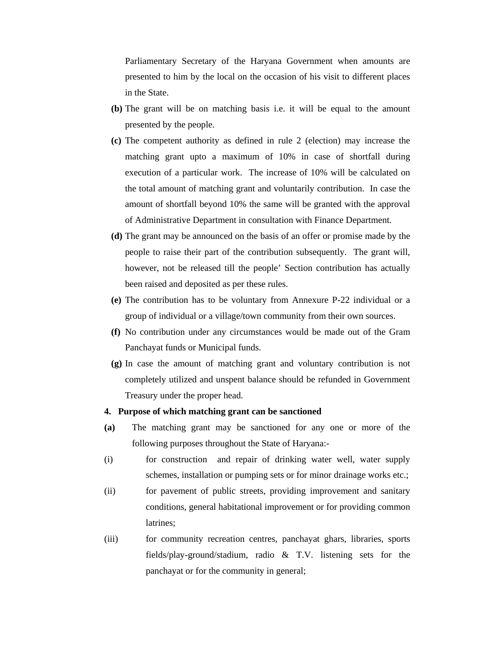Parliamentary Secretary of the Haryana Government when amounts are presented to him by the local on the occasion of his visit to different places in the State.

- **(b)** The grant will be on matching basis i.e. it will be equal to the amount presented by the people.
- **(c)** The competent authority as defined in rule 2 (election) may increase the matching grant upto a maximum of 10% in case of shortfall during execution of a particular work. The increase of 10% will be calculated on the total amount of matching grant and voluntarily contribution. In case the amount of shortfall beyond 10% the same will be granted with the approval of Administrative Department in consultation with Finance Department.
- **(d)** The grant may be announced on the basis of an offer or promise made by the people to raise their part of the contribution subsequently. The grant will, however, not be released till the people' Section contribution has actually been raised and deposited as per these rules.
- **(e)** The contribution has to be voluntary from Annexure P-22 individual or a group of individual or a village/town community from their own sources.
- **(f)** No contribution under any circumstances would be made out of the Gram Panchayat funds or Municipal funds.
- **(g)** In case the amount of matching grant and voluntary contribution is not completely utilized and unspent balance should be refunded in Government Treasury under the proper head.

#### **4. Purpose of which matching grant can be sanctioned**

- **(a)** The matching grant may be sanctioned for any one or more of the following purposes throughout the State of Haryana:-
- (i) for construction and repair of drinking water well, water supply schemes, installation or pumping sets or for minor drainage works etc.;
- (ii) for pavement of public streets, providing improvement and sanitary conditions, general habitational improvement or for providing common latrines;
- (iii) for community recreation centres, panchayat ghars, libraries, sports fields/play-ground/stadium, radio & T.V. listening sets for the panchayat or for the community in general;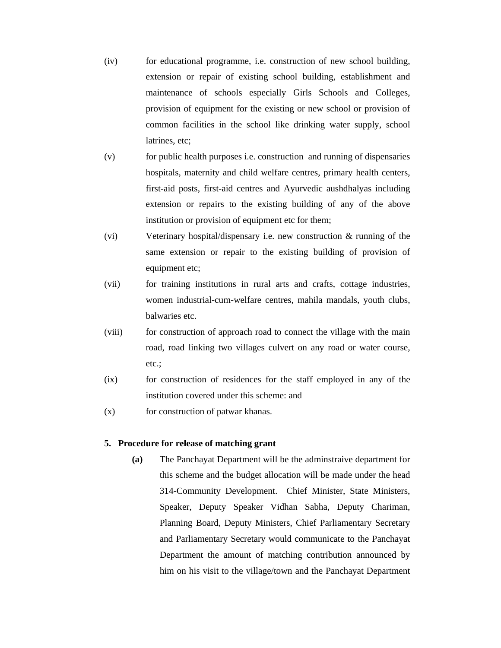- (iv) for educational programme, i.e. construction of new school building, extension or repair of existing school building, establishment and maintenance of schools especially Girls Schools and Colleges, provision of equipment for the existing or new school or provision of common facilities in the school like drinking water supply, school latrines, etc;
- (v) for public health purposes i.e. construction and running of dispensaries hospitals, maternity and child welfare centres, primary health centers, first-aid posts, first-aid centres and Ayurvedic aushdhalyas including extension or repairs to the existing building of any of the above institution or provision of equipment etc for them;
- (vi) Veterinary hospital/dispensary i.e. new construction & running of the same extension or repair to the existing building of provision of equipment etc;
- (vii) for training institutions in rural arts and crafts, cottage industries, women industrial-cum-welfare centres, mahila mandals, youth clubs, balwaries etc.
- (viii) for construction of approach road to connect the village with the main road, road linking two villages culvert on any road or water course, etc.;
- (ix) for construction of residences for the staff employed in any of the institution covered under this scheme: and
- (x) for construction of patwar khanas.

### **5. Procedure for release of matching grant**

**(a)** The Panchayat Department will be the adminstraive department for this scheme and the budget allocation will be made under the head 314-Community Development. Chief Minister, State Ministers, Speaker, Deputy Speaker Vidhan Sabha, Deputy Chariman, Planning Board, Deputy Ministers, Chief Parliamentary Secretary and Parliamentary Secretary would communicate to the Panchayat Department the amount of matching contribution announced by him on his visit to the village/town and the Panchayat Department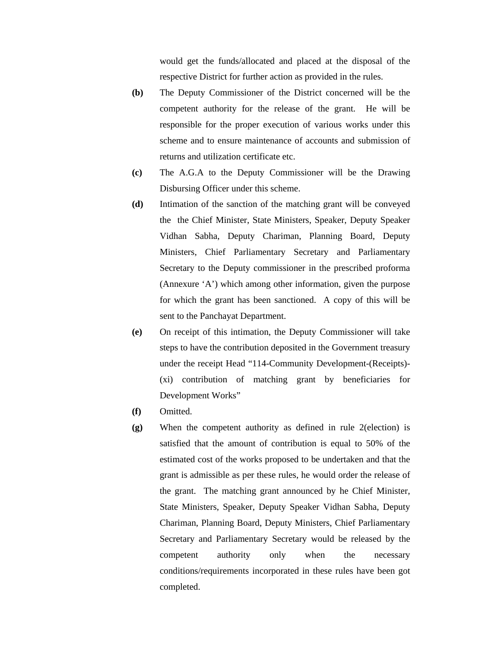would get the funds/allocated and placed at the disposal of the respective District for further action as provided in the rules.

- **(b)** The Deputy Commissioner of the District concerned will be the competent authority for the release of the grant. He will be responsible for the proper execution of various works under this scheme and to ensure maintenance of accounts and submission of returns and utilization certificate etc.
- **(c)** The A.G.A to the Deputy Commissioner will be the Drawing Disbursing Officer under this scheme.
- **(d)** Intimation of the sanction of the matching grant will be conveyed the the Chief Minister, State Ministers, Speaker, Deputy Speaker Vidhan Sabha, Deputy Chariman, Planning Board, Deputy Ministers, Chief Parliamentary Secretary and Parliamentary Secretary to the Deputy commissioner in the prescribed proforma (Annexure 'A') which among other information, given the purpose for which the grant has been sanctioned. A copy of this will be sent to the Panchayat Department.
- **(e)** On receipt of this intimation, the Deputy Commissioner will take steps to have the contribution deposited in the Government treasury under the receipt Head "114-Community Development-(Receipts)- (xi) contribution of matching grant by beneficiaries for Development Works"
- **(f)** Omitted.
- **(g)** When the competent authority as defined in rule 2(election) is satisfied that the amount of contribution is equal to 50% of the estimated cost of the works proposed to be undertaken and that the grant is admissible as per these rules, he would order the release of the grant. The matching grant announced by he Chief Minister, State Ministers, Speaker, Deputy Speaker Vidhan Sabha, Deputy Chariman, Planning Board, Deputy Ministers, Chief Parliamentary Secretary and Parliamentary Secretary would be released by the competent authority only when the necessary conditions/requirements incorporated in these rules have been got completed.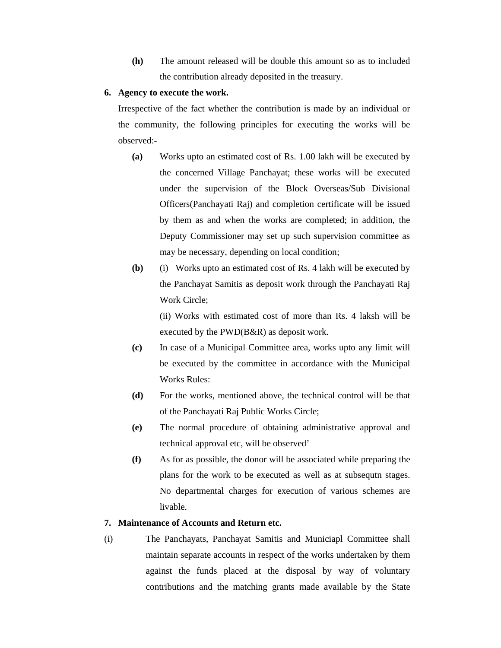**(h)** The amount released will be double this amount so as to included the contribution already deposited in the treasury.

### **6. Agency to execute the work.**

Irrespective of the fact whether the contribution is made by an individual or the community, the following principles for executing the works will be observed:-

- **(a)** Works upto an estimated cost of Rs. 1.00 lakh will be executed by the concerned Village Panchayat; these works will be executed under the supervision of the Block Overseas/Sub Divisional Officers(Panchayati Raj) and completion certificate will be issued by them as and when the works are completed; in addition, the Deputy Commissioner may set up such supervision committee as may be necessary, depending on local condition;
- **(b)** (i) Works upto an estimated cost of Rs. 4 lakh will be executed by the Panchayat Samitis as deposit work through the Panchayati Raj Work Circle;

(ii) Works with estimated cost of more than Rs. 4 laksh will be executed by the PWD(B&R) as deposit work.

- **(c)** In case of a Municipal Committee area, works upto any limit will be executed by the committee in accordance with the Municipal Works Rules:
- **(d)** For the works, mentioned above, the technical control will be that of the Panchayati Raj Public Works Circle;
- **(e)** The normal procedure of obtaining administrative approval and technical approval etc, will be observed'
- **(f)** As for as possible, the donor will be associated while preparing the plans for the work to be executed as well as at subsequtn stages. No departmental charges for execution of various schemes are livable.

## **7. Maintenance of Accounts and Return etc.**

(i) The Panchayats, Panchayat Samitis and Municiapl Committee shall maintain separate accounts in respect of the works undertaken by them against the funds placed at the disposal by way of voluntary contributions and the matching grants made available by the State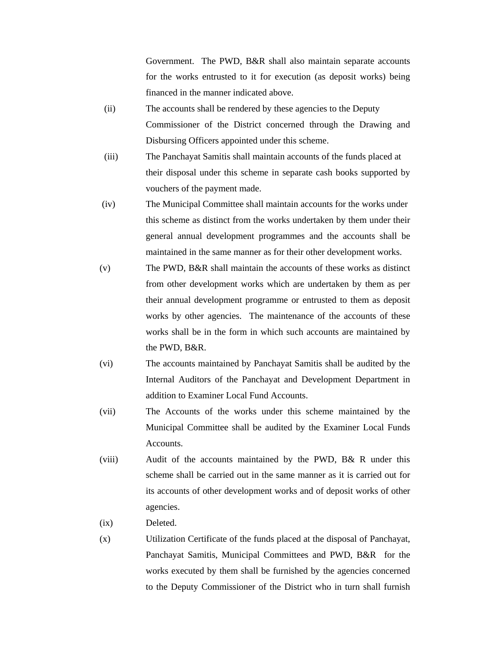Government. The PWD, B&R shall also maintain separate accounts for the works entrusted to it for execution (as deposit works) being financed in the manner indicated above.

- (ii) The accounts shall be rendered by these agencies to the Deputy Commissioner of the District concerned through the Drawing and Disbursing Officers appointed under this scheme.
- (iii) The Panchayat Samitis shall maintain accounts of the funds placed at their disposal under this scheme in separate cash books supported by vouchers of the payment made.
- (iv) The Municipal Committee shall maintain accounts for the works under this scheme as distinct from the works undertaken by them under their general annual development programmes and the accounts shall be maintained in the same manner as for their other development works.
- (v) The PWD, B&R shall maintain the accounts of these works as distinct from other development works which are undertaken by them as per their annual development programme or entrusted to them as deposit works by other agencies. The maintenance of the accounts of these works shall be in the form in which such accounts are maintained by the PWD, B&R.
- (vi) The accounts maintained by Panchayat Samitis shall be audited by the Internal Auditors of the Panchayat and Development Department in addition to Examiner Local Fund Accounts.
- (vii) The Accounts of the works under this scheme maintained by the Municipal Committee shall be audited by the Examiner Local Funds **Accounts**
- (viii) Audit of the accounts maintained by the PWD, B& R under this scheme shall be carried out in the same manner as it is carried out for its accounts of other development works and of deposit works of other agencies.
- (ix) Deleted.
- (x) Utilization Certificate of the funds placed at the disposal of Panchayat, Panchayat Samitis, Municipal Committees and PWD, B&R for the works executed by them shall be furnished by the agencies concerned to the Deputy Commissioner of the District who in turn shall furnish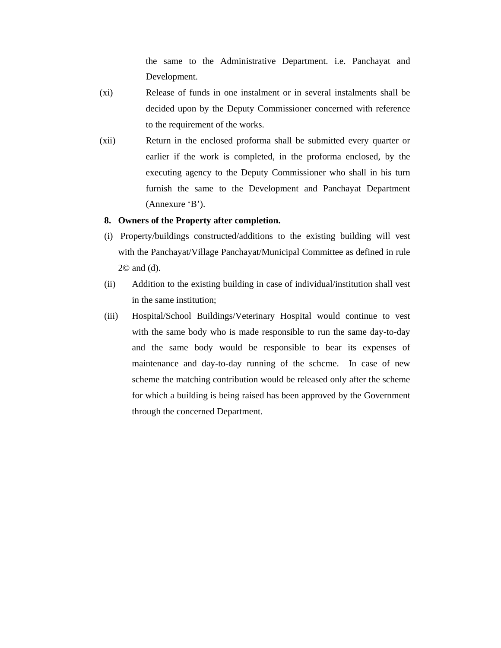the same to the Administrative Department. i.e. Panchayat and Development.

- (xi) Release of funds in one instalment or in several instalments shall be decided upon by the Deputy Commissioner concerned with reference to the requirement of the works.
- (xii) Return in the enclosed proforma shall be submitted every quarter or earlier if the work is completed, in the proforma enclosed, by the executing agency to the Deputy Commissioner who shall in his turn furnish the same to the Development and Panchayat Department (Annexure 'B').

#### **8. Owners of the Property after completion.**

- (i) Property/buildings constructed/additions to the existing building will vest with the Panchayat/Village Panchayat/Municipal Committee as defined in rule 2© and (d).
- (ii) Addition to the existing building in case of individual/institution shall vest in the same institution;
- (iii) Hospital/School Buildings/Veterinary Hospital would continue to vest with the same body who is made responsible to run the same day-to-day and the same body would be responsible to bear its expenses of maintenance and day-to-day running of the schcme. In case of new scheme the matching contribution would be released only after the scheme for which a building is being raised has been approved by the Government through the concerned Department.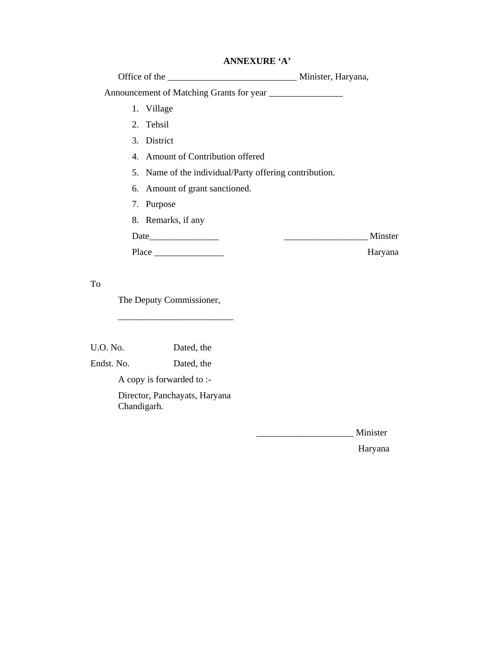# **ANNEXURE 'A'**

| 1. Village                                             |         |
|--------------------------------------------------------|---------|
| 2. Tehsil                                              |         |
| 3. District                                            |         |
| 4. Amount of Contribution offered                      |         |
| 5. Name of the individual/Party offering contribution. |         |
| 6. Amount of grant sanctioned.                         |         |
| 7. Purpose                                             |         |
| 8. Remarks, if any                                     |         |
|                                                        | Minster |
|                                                        | Haryana |
|                                                        |         |
|                                                        |         |

To

The Deputy Commissioner,

\_\_\_\_\_\_\_\_\_\_\_\_\_\_\_\_\_\_\_\_\_\_\_\_\_

U.O. No. Dated, the

Endst. No. Dated, the

A copy is forwarded to :-

 Director, Panchayats, Haryana Chandigarh.

\_\_\_\_\_\_\_\_\_\_\_\_\_\_\_\_\_\_\_\_\_ Minister

Haryana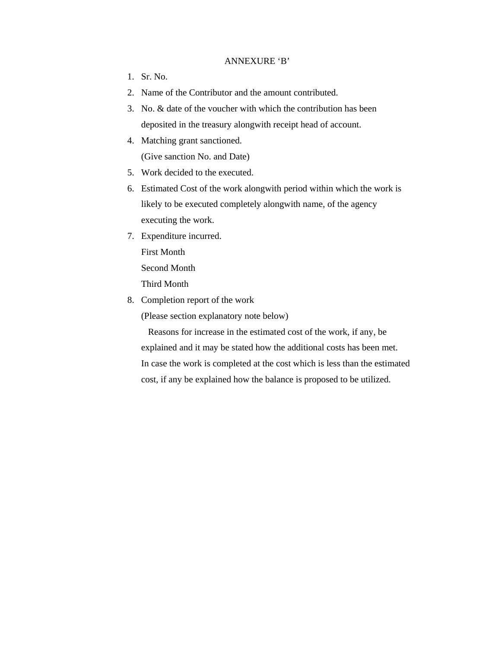#### ANNEXURE 'B'

- 1. Sr. No.
- 2. Name of the Contributor and the amount contributed.
- 3. No. & date of the voucher with which the contribution has been deposited in the treasury alongwith receipt head of account.
- 4. Matching grant sanctioned.

(Give sanction No. and Date)

- 5. Work decided to the executed.
- 6. Estimated Cost of the work alongwith period within which the work is likely to be executed completely alongwith name, of the agency executing the work.
- 7. Expenditure incurred. First Month Second Month

Third Month

8. Completion report of the work

(Please section explanatory note below)

 Reasons for increase in the estimated cost of the work, if any, be explained and it may be stated how the additional costs has been met. In case the work is completed at the cost which is less than the estimated cost, if any be explained how the balance is proposed to be utilized.